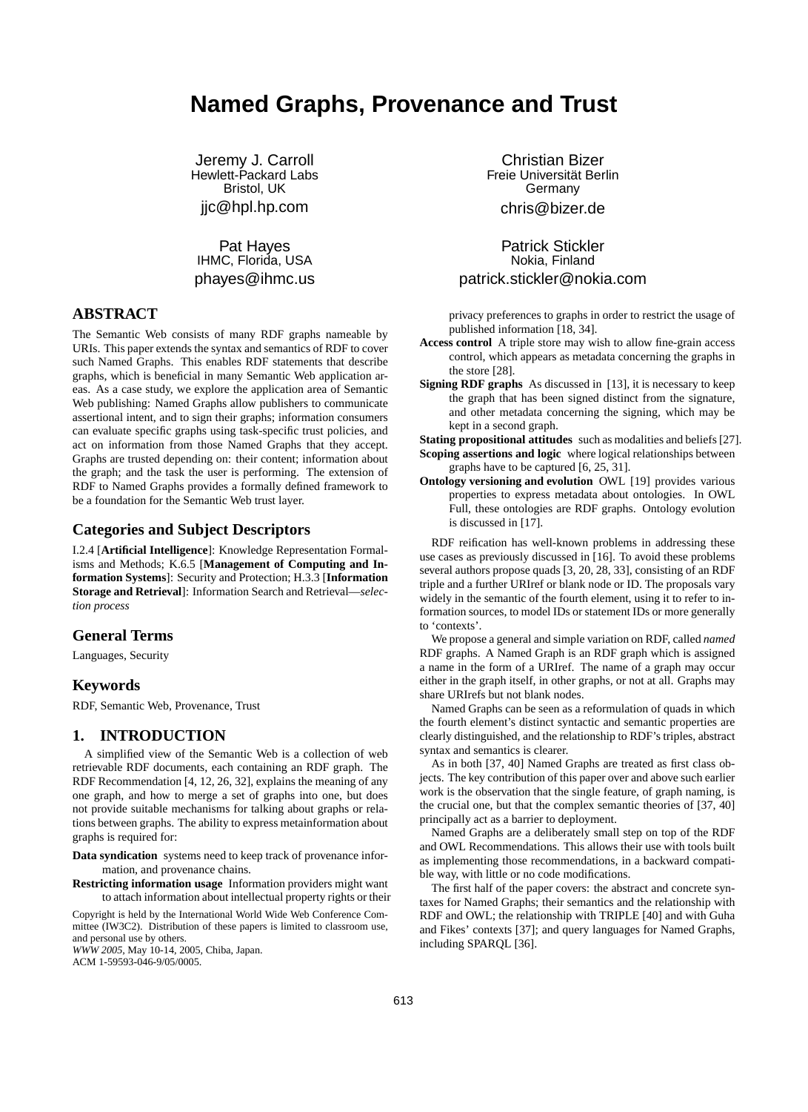# **Named Graphs, Provenance and Trust**

Jeremy J. Carroll Hewlett-Packard Labs Bristol, UK jjc@hpl.hp.com

Pat Hayes IHMC, Florida, USA phayes@ihmc.us

## **ABSTRACT**

The Semantic Web consists of many RDF graphs nameable by URIs. This paper extends the syntax and semantics of RDF to cover such Named Graphs. This enables RDF statements that describe graphs, which is beneficial in many Semantic Web application areas. As a case study, we explore the application area of Semantic Web publishing: Named Graphs allow publishers to communicate assertional intent, and to sign their graphs; information consumers can evaluate specific graphs using task-specific trust policies, and act on information from those Named Graphs that they accept. Graphs are trusted depending on: their content; information about the graph; and the task the user is performing. The extension of RDF to Named Graphs provides a formally defined framework to be a foundation for the Semantic Web trust layer.

## **Categories and Subject Descriptors**

I.2.4 [**Artificial Intelligence**]: Knowledge Representation Formalisms and Methods; K.6.5 [**Management of Computing and Information Systems**]: Security and Protection; H.3.3 [**Information Storage and Retrieval**]: Information Search and Retrieval—*selection process*

## **General Terms**

Languages, Security

## **Keywords**

RDF, Semantic Web, Provenance, Trust

## **1. INTRODUCTION**

A simplified view of the Semantic Web is a collection of web retrievable RDF documents, each containing an RDF graph. The RDF Recommendation [4, 12, 26, 32], explains the meaning of any one graph, and how to merge a set of graphs into one, but does not provide suitable mechanisms for talking about graphs or relations between graphs. The ability to express metainformation about graphs is required for:

**Data syndication** systems need to keep track of provenance information, and provenance chains.

**Restricting information usage** Information providers might want to attach information about intellectual property rights or their

Copyright is held by the International World Wide Web Conference Committee (IW3C2). Distribution of these papers is limited to classroom use, and personal use by others.

*WWW 2005*, May 10-14, 2005, Chiba, Japan.

ACM 1-59593-046-9/05/0005.

Christian Bizer Freie Universität Berlin Germany chris@bizer.de

Patrick Stickler Nokia, Finland patrick.stickler@nokia.com

privacy preferences to graphs in order to restrict the usage of published information [18, 34].

**Access control** A triple store may wish to allow fine-grain access control, which appears as metadata concerning the graphs in the store [28].

**Signing RDF graphs** As discussed in [13], it is necessary to keep the graph that has been signed distinct from the signature, and other metadata concerning the signing, which may be kept in a second graph.

**Stating propositional attitudes** such as modalities and beliefs [27]. **Scoping assertions and logic** where logical relationships between graphs have to be captured [6, 25, 31].

**Ontology versioning and evolution** OWL [19] provides various properties to express metadata about ontologies. In OWL Full, these ontologies are RDF graphs. Ontology evolution is discussed in [17].

RDF reification has well-known problems in addressing these use cases as previously discussed in [16]. To avoid these problems several authors propose quads [3, 20, 28, 33], consisting of an RDF triple and a further URIref or blank node or ID. The proposals vary widely in the semantic of the fourth element, using it to refer to information sources, to model IDs or statement IDs or more generally to 'contexts'.

We propose a general and simple variation on RDF, called *named* RDF graphs. A Named Graph is an RDF graph which is assigned a name in the form of a URIref. The name of a graph may occur either in the graph itself, in other graphs, or not at all. Graphs may share URIrefs but not blank nodes.

Named Graphs can be seen as a reformulation of quads in which the fourth element's distinct syntactic and semantic properties are clearly distinguished, and the relationship to RDF's triples, abstract syntax and semantics is clearer.

As in both [37, 40] Named Graphs are treated as first class objects. The key contribution of this paper over and above such earlier work is the observation that the single feature, of graph naming, is the crucial one, but that the complex semantic theories of [37, 40] principally act as a barrier to deployment.

Named Graphs are a deliberately small step on top of the RDF and OWL Recommendations. This allows their use with tools built as implementing those recommendations, in a backward compatible way, with little or no code modifications.

The first half of the paper covers: the abstract and concrete syntaxes for Named Graphs; their semantics and the relationship with RDF and OWL; the relationship with TRIPLE [40] and with Guha and Fikes' contexts [37]; and query languages for Named Graphs, including SPARQL [36].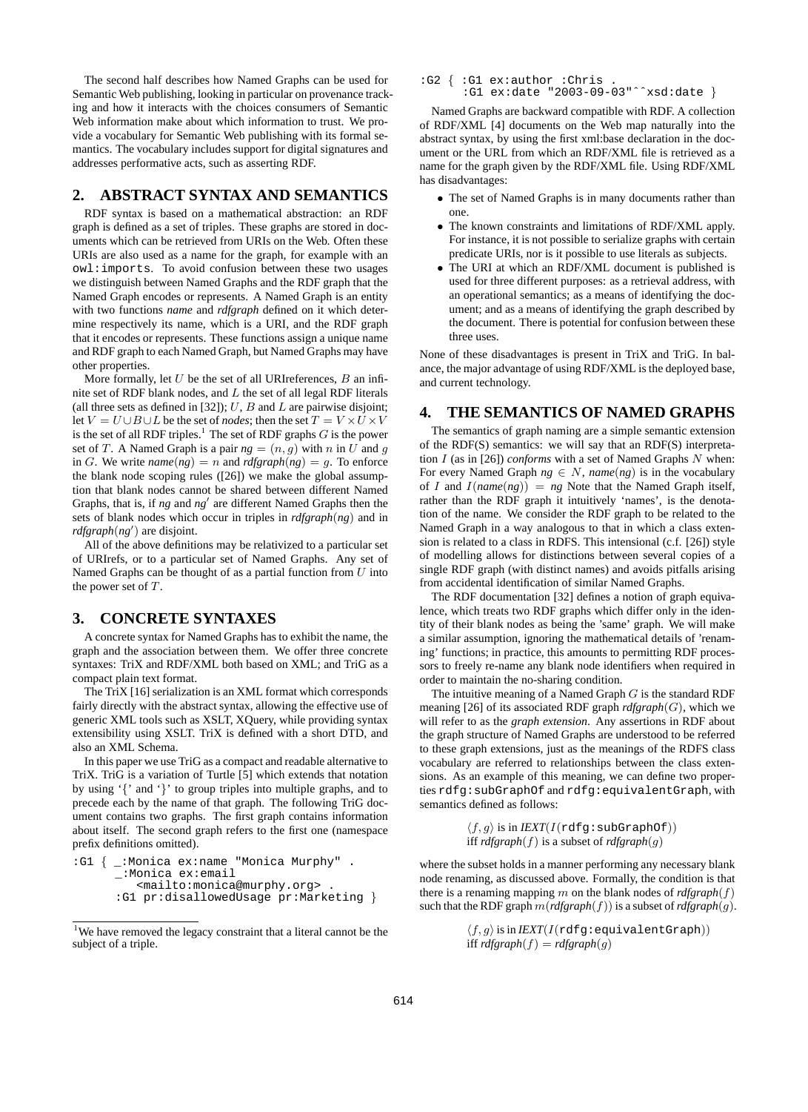The second half describes how Named Graphs can be used for Semantic Web publishing, looking in particular on provenance tracking and how it interacts with the choices consumers of Semantic Web information make about which information to trust. We provide a vocabulary for Semantic Web publishing with its formal semantics. The vocabulary includes support for digital signatures and addresses performative acts, such as asserting RDF.

## **2. ABSTRACT SYNTAX AND SEMANTICS**

RDF syntax is based on a mathematical abstraction: an RDF graph is defined as a set of triples. These graphs are stored in documents which can be retrieved from URIs on the Web. Often these URIs are also used as a name for the graph, for example with an owl:imports. To avoid confusion between these two usages we distinguish between Named Graphs and the RDF graph that the Named Graph encodes or represents. A Named Graph is an entity with two functions *name* and *rdfgraph* defined on it which determine respectively its name, which is a URI, and the RDF graph that it encodes or represents. These functions assign a unique name and RDF graph to each Named Graph, but Named Graphs may have other properties.

More formally, let  $U$  be the set of all URIreferences,  $B$  an infinite set of RDF blank nodes, and  $L$  the set of all legal RDF literals (all three sets as defined in [32]);  $U$ ,  $B$  and  $L$  are pairwise disjoint; let  $V = U \cup B \cup L$  be the set of *nodes*; then the set  $T = V \times U \times V$ is the set of all RDF triples.<sup>1</sup> The set of RDF graphs  $G$  is the power set of T. A Named Graph is a pair  $ng = (n, g)$  with n in U and g in G. We write  $name(ng) = n$  and  $rdfgraph(ng) = g$ . To enforce the blank node scoping rules ([26]) we make the global assumption that blank nodes cannot be shared between different Named Graphs, that is, if *ng* and *ng'* are different Named Graphs then the sets of blank nodes which occur in triples in *rdfgraph*(*ng*) and in *rdfgraph*(*ng'*) are disjoint.

All of the above definitions may be relativized to a particular set of URIrefs, or to a particular set of Named Graphs. Any set of Named Graphs can be thought of as a partial function from  $U$  into the power set of  $T$ .

#### **3. CONCRETE SYNTAXES**

A concrete syntax for Named Graphs has to exhibit the name, the graph and the association between them. We offer three concrete syntaxes: TriX and RDF/XML both based on XML; and TriG as a compact plain text format.

The TriX [16] serialization is an XML format which corresponds fairly directly with the abstract syntax, allowing the effective use of generic XML tools such as XSLT, XQuery, while providing syntax extensibility using XSLT. TriX is defined with a short DTD, and also an XML Schema.

In this paper we use TriG as a compact and readable alternative to TriX. TriG is a variation of Turtle [5] which extends that notation by using '{' and '}' to group triples into multiple graphs, and to precede each by the name of that graph. The following TriG document contains two graphs. The first graph contains information about itself. The second graph refers to the first one (namespace prefix definitions omitted).

```
:G1 { _:Monica ex:name "Monica Murphy" .
      _:Monica ex:email
         <mailto:monica@murphy.org> .
      :G1 pr:disallowedUsage pr:Marketing }
```

$$
\begin{array}{r}\n: G2 \{ : G1 \text{ ex} : \text{author} : \text{Chris} \, . \\
: G1 \text{ ex} : \text{date} \, "2003-09-03" \, ^* \text{xsd} : \text{date} \, \}\n\end{array}
$$

Named Graphs are backward compatible with RDF. A collection of RDF/XML [4] documents on the Web map naturally into the abstract syntax, by using the first xml:base declaration in the document or the URL from which an RDF/XML file is retrieved as a name for the graph given by the RDF/XML file. Using RDF/XML has disadvantages:

- The set of Named Graphs is in many documents rather than one.
- The known constraints and limitations of RDF/XML apply. For instance, it is not possible to serialize graphs with certain predicate URIs, nor is it possible to use literals as subjects.
- The URI at which an RDF/XML document is published is used for three different purposes: as a retrieval address, with an operational semantics; as a means of identifying the document; and as a means of identifying the graph described by the document. There is potential for confusion between these three uses.

None of these disadvantages is present in TriX and TriG. In balance, the major advantage of using RDF/XML is the deployed base, and current technology.

#### **4. THE SEMANTICS OF NAMED GRAPHS**

The semantics of graph naming are a simple semantic extension of the RDF(S) semantics: we will say that an RDF(S) interpretation I (as in [26]) *conforms* with a set of Named Graphs N when: For every Named Graph  $ng \in N$ ,  $name(ng)$  is in the vocabulary of I and  $I(name(ng)) = ng$  Note that the Named Graph itself, rather than the RDF graph it intuitively 'names', is the denotation of the name. We consider the RDF graph to be related to the Named Graph in a way analogous to that in which a class extension is related to a class in RDFS. This intensional (c.f. [26]) style of modelling allows for distinctions between several copies of a single RDF graph (with distinct names) and avoids pitfalls arising from accidental identification of similar Named Graphs.

The RDF documentation [32] defines a notion of graph equivalence, which treats two RDF graphs which differ only in the identity of their blank nodes as being the 'same' graph. We will make a similar assumption, ignoring the mathematical details of 'renaming' functions; in practice, this amounts to permitting RDF processors to freely re-name any blank node identifiers when required in order to maintain the no-sharing condition.

The intuitive meaning of a Named Graph  $G$  is the standard RDF meaning [26] of its associated RDF graph *rdfgraph*(G), which we will refer to as the *graph extension*. Any assertions in RDF about the graph structure of Named Graphs are understood to be referred to these graph extensions, just as the meanings of the RDFS class vocabulary are referred to relationships between the class extensions. As an example of this meaning, we can define two properties rdfg:subGraphOf and rdfg:equivalentGraph, with semantics defined as follows:

> $\langle f, q \rangle$  is in *IEXT*( $I(\text{rdfg:subGraphOf})$ ) iff  $rdfgraph(f)$  is a subset of  $rdfgraph(g)$

where the subset holds in a manner performing any necessary blank node renaming, as discussed above. Formally, the condition is that there is a renaming mapping m on the blank nodes of  $\eta$ *rdfgraph* $(f)$ such that the RDF graph  $m(rdfgraph(f))$  is a subset of  $rdfgraph(g)$ .

> $\langle f, g \rangle$  is in *IEXT*( $I(rdfg:equivalentGraph)$ ) iff  $\text{rdfgraph}(f) = \text{rdfgraph}(g)$

<sup>&</sup>lt;sup>1</sup>We have removed the legacy constraint that a literal cannot be the subject of a triple.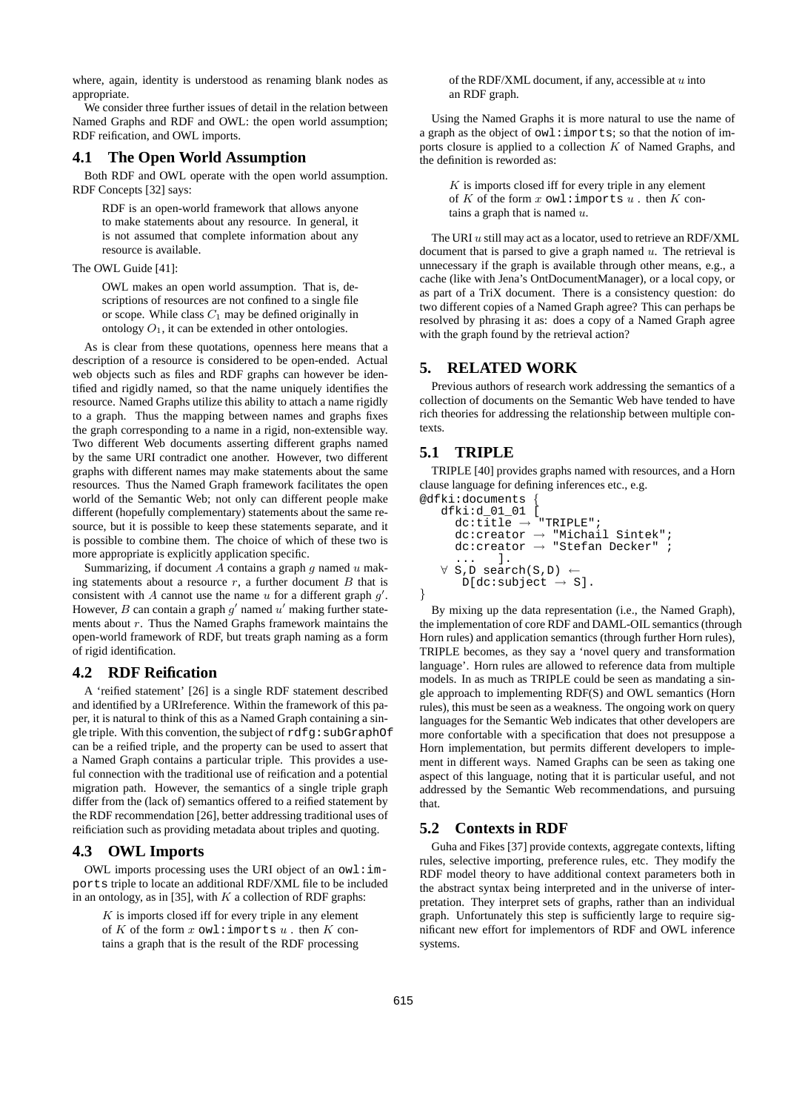where, again, identity is understood as renaming blank nodes as appropriate.

We consider three further issues of detail in the relation between Named Graphs and RDF and OWL: the open world assumption; RDF reification, and OWL imports.

### **4.1 The Open World Assumption**

Both RDF and OWL operate with the open world assumption. RDF Concepts [32] says:

RDF is an open-world framework that allows anyone to make statements about any resource. In general, it is not assumed that complete information about any resource is available.

#### The OWL Guide [41]:

OWL makes an open world assumption. That is, descriptions of resources are not confined to a single file or scope. While class  $C_1$  may be defined originally in ontology  $O_1$ , it can be extended in other ontologies.

As is clear from these quotations, openness here means that a description of a resource is considered to be open-ended. Actual web objects such as files and RDF graphs can however be identified and rigidly named, so that the name uniquely identifies the resource. Named Graphs utilize this ability to attach a name rigidly to a graph. Thus the mapping between names and graphs fixes the graph corresponding to a name in a rigid, non-extensible way. Two different Web documents asserting different graphs named by the same URI contradict one another. However, two different graphs with different names may make statements about the same resources. Thus the Named Graph framework facilitates the open world of the Semantic Web; not only can different people make different (hopefully complementary) statements about the same resource, but it is possible to keep these statements separate, and it is possible to combine them. The choice of which of these two is more appropriate is explicitly application specific.

Summarizing, if document  $A$  contains a graph  $g$  named  $u$  making statements about a resource  $r$ , a further document  $B$  that is consistent with A cannot use the name  $u$  for a different graph  $g'$ . However,  $B$  can contain a graph  $g'$  named  $u'$  making further statements about r. Thus the Named Graphs framework maintains the open-world framework of RDF, but treats graph naming as a form of rigid identification.

#### **4.2 RDF Reification**

A 'reified statement' [26] is a single RDF statement described and identified by a URIreference. Within the framework of this paper, it is natural to think of this as a Named Graph containing a single triple. With this convention, the subject of rdfg:subGraphOf can be a reified triple, and the property can be used to assert that a Named Graph contains a particular triple. This provides a useful connection with the traditional use of reification and a potential migration path. However, the semantics of a single triple graph differ from the (lack of) semantics offered to a reified statement by the RDF recommendation [26], better addressing traditional uses of reificiation such as providing metadata about triples and quoting.

## **4.3 OWL Imports**

OWL imports processing uses the URI object of an  $\text{owl} : \text{im}$ ports triple to locate an additional RDF/XML file to be included in an ontology, as in [35], with  $K$  a collection of RDF graphs:

 $K$  is imports closed iff for every triple in any element of K of the form  $x$  owl: imports  $u$ . then  $K$  contains a graph that is the result of the RDF processing

of the RDF/XML document, if any, accessible at  $u$  into an RDF graph.

Using the Named Graphs it is more natural to use the name of a graph as the object of owl:imports; so that the notion of imports closure is applied to a collection  $K$  of Named Graphs, and the definition is reworded as:

 $K$  is imports closed iff for every triple in any element of K of the form  $x$  owl: imports  $u$ . then  $K$  contains a graph that is named  $u$ .

The URI  $u$  still may act as a locator, used to retrieve an RDF/XML document that is parsed to give a graph named  $u$ . The retrieval is unnecessary if the graph is available through other means, e.g., a cache (like with Jena's OntDocumentManager), or a local copy, or as part of a TriX document. There is a consistency question: do two different copies of a Named Graph agree? This can perhaps be resolved by phrasing it as: does a copy of a Named Graph agree with the graph found by the retrieval action?

# **5. RELATED WORK**

Previous authors of research work addressing the semantics of a collection of documents on the Semantic Web have tended to have rich theories for addressing the relationship between multiple contexts.

# **5.1 TRIPLE**

}

TRIPLE [40] provides graphs named with resources, and a Horn clause language for defining inferences etc., e.g.

```
@dfki:documents {
   dfki:d_01_01 [
      dc:title \rightarrow "TRIPLE";
      dc:creator → "Michail Sintek";
      dc:creator → "Stefan Decker" ;
      ... ].
   \forall S, D search(S, D) \leftarrowD[dc:subject \rightarrow S].
```
By mixing up the data representation (i.e., the Named Graph), the implementation of core RDF and DAML-OIL semantics (through Horn rules) and application semantics (through further Horn rules), TRIPLE becomes, as they say a 'novel query and transformation language'. Horn rules are allowed to reference data from multiple models. In as much as TRIPLE could be seen as mandating a single approach to implementing RDF(S) and OWL semantics (Horn rules), this must be seen as a weakness. The ongoing work on query languages for the Semantic Web indicates that other developers are more confortable with a specification that does not presuppose a Horn implementation, but permits different developers to implement in different ways. Named Graphs can be seen as taking one aspect of this language, noting that it is particular useful, and not addressed by the Semantic Web recommendations, and pursuing that.

## **5.2 Contexts in RDF**

Guha and Fikes [37] provide contexts, aggregate contexts, lifting rules, selective importing, preference rules, etc. They modify the RDF model theory to have additional context parameters both in the abstract syntax being interpreted and in the universe of interpretation. They interpret sets of graphs, rather than an individual graph. Unfortunately this step is sufficiently large to require significant new effort for implementors of RDF and OWL inference systems.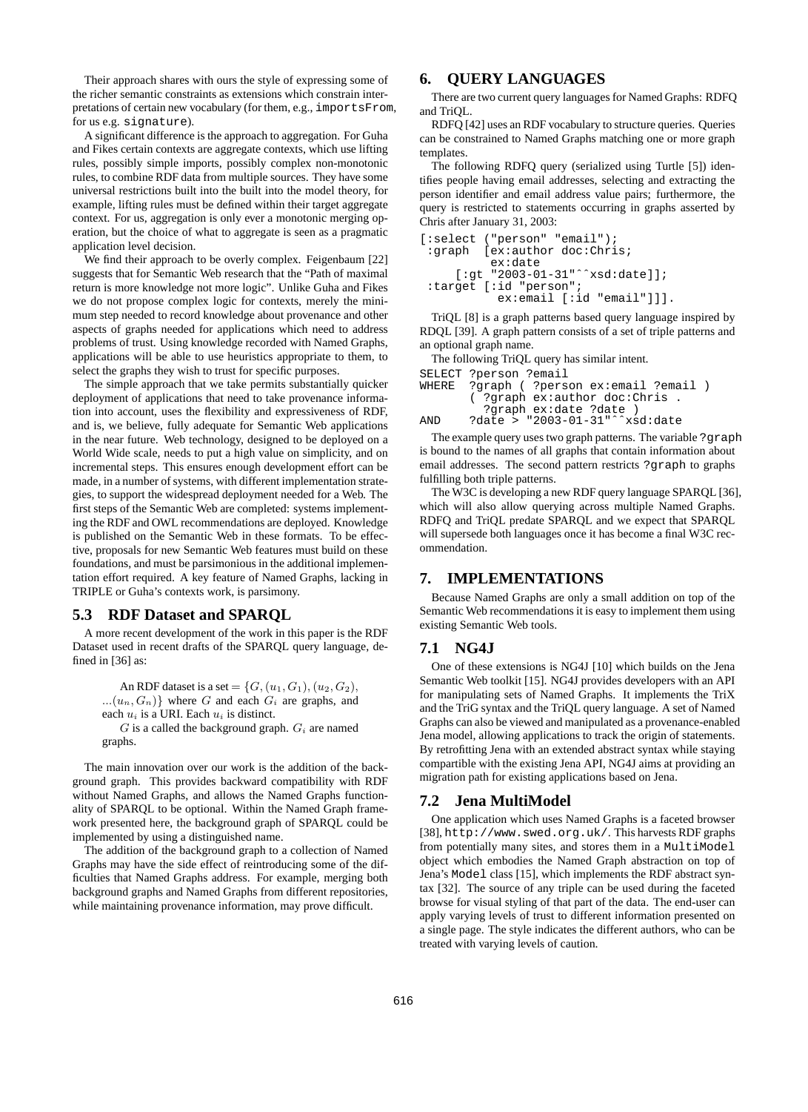Their approach shares with ours the style of expressing some of the richer semantic constraints as extensions which constrain interpretations of certain new vocabulary (for them, e.g., importsFrom, for us e.g. signature).

A significant difference is the approach to aggregation. For Guha and Fikes certain contexts are aggregate contexts, which use lifting rules, possibly simple imports, possibly complex non-monotonic rules, to combine RDF data from multiple sources. They have some universal restrictions built into the built into the model theory, for example, lifting rules must be defined within their target aggregate context. For us, aggregation is only ever a monotonic merging operation, but the choice of what to aggregate is seen as a pragmatic application level decision.

We find their approach to be overly complex. Feigenbaum [22] suggests that for Semantic Web research that the "Path of maximal return is more knowledge not more logic". Unlike Guha and Fikes we do not propose complex logic for contexts, merely the minimum step needed to record knowledge about provenance and other aspects of graphs needed for applications which need to address problems of trust. Using knowledge recorded with Named Graphs, applications will be able to use heuristics appropriate to them, to select the graphs they wish to trust for specific purposes.

The simple approach that we take permits substantially quicker deployment of applications that need to take provenance information into account, uses the flexibility and expressiveness of RDF, and is, we believe, fully adequate for Semantic Web applications in the near future. Web technology, designed to be deployed on a World Wide scale, needs to put a high value on simplicity, and on incremental steps. This ensures enough development effort can be made, in a number of systems, with different implementation strategies, to support the widespread deployment needed for a Web. The first steps of the Semantic Web are completed: systems implementing the RDF and OWL recommendations are deployed. Knowledge is published on the Semantic Web in these formats. To be effective, proposals for new Semantic Web features must build on these foundations, and must be parsimonious in the additional implementation effort required. A key feature of Named Graphs, lacking in TRIPLE or Guha's contexts work, is parsimony.

## **5.3 RDF Dataset and SPARQL**

A more recent development of the work in this paper is the RDF Dataset used in recent drafts of the SPARQL query language, defined in [36] as:

An RDF dataset is a set =  $\{G, (u_1, G_1), (u_2, G_2),\}$ ... $(u_n, G_n)$ } where G and each  $G_i$  are graphs, and each  $u_i$  is a URI. Each  $u_i$  is distinct.  $G$  is a called the background graph.  $G_i$  are named

graphs.

The main innovation over our work is the addition of the background graph. This provides backward compatibility with RDF without Named Graphs, and allows the Named Graphs functionality of SPARQL to be optional. Within the Named Graph framework presented here, the background graph of SPARQL could be implemented by using a distinguished name.

The addition of the background graph to a collection of Named Graphs may have the side effect of reintroducing some of the difficulties that Named Graphs address. For example, merging both background graphs and Named Graphs from different repositories, while maintaining provenance information, may prove difficult.

## **6. QUERY LANGUAGES**

There are two current query languages for Named Graphs: RDFQ and TriQL.

RDFQ [42] uses an RDF vocabulary to structure queries. Queries can be constrained to Named Graphs matching one or more graph templates.

The following RDFQ query (serialized using Turtle [5]) identifies people having email addresses, selecting and extracting the person identifier and email address value pairs; furthermore, the query is restricted to statements occurring in graphs asserted by Chris after January 31, 2003:

```
[:select ("person" "email");
 :graph [ex:author doc:Chris;
          ex:date
     [:gt "2003-01-31"ˆˆxsd:date]];
 :target [:id "person";
           ex:email [:id "email"]]].
```
TriQL [8] is a graph patterns based query language inspired by RDQL [39]. A graph pattern consists of a set of triple patterns and an optional graph name.

The following TriQL query has similar intent.

```
SELECT ?person ?email<br>WHERE ?graph ( ?pers
        ?graph ( ?person ex:email ?email )
          ?graph ex:author doc:Chris .
          ?graph ex:date ?date )
AND ?date > "2003-01-31"ˆˆxsd:date
```
The example query uses two graph patterns. The variable ?graph is bound to the names of all graphs that contain information about email addresses. The second pattern restricts ?graph to graphs fulfilling both triple patterns.

The W3C is developing a new RDF query language SPARQL [36], which will also allow querying across multiple Named Graphs. RDFQ and TriQL predate SPARQL and we expect that SPARQL will supersede both languages once it has become a final W3C recommendation.

### **7. IMPLEMENTATIONS**

Because Named Graphs are only a small addition on top of the Semantic Web recommendations it is easy to implement them using existing Semantic Web tools.

#### **7.1 NG4J**

One of these extensions is NG4J [10] which builds on the Jena Semantic Web toolkit [15]. NG4J provides developers with an API for manipulating sets of Named Graphs. It implements the TriX and the TriG syntax and the TriQL query language. A set of Named Graphs can also be viewed and manipulated as a provenance-enabled Jena model, allowing applications to track the origin of statements. By retrofitting Jena with an extended abstract syntax while staying compartible with the existing Jena API, NG4J aims at providing an migration path for existing applications based on Jena.

#### **7.2 Jena MultiModel**

One application which uses Named Graphs is a faceted browser [38], http://www.swed.org.uk/. This harvests RDF graphs from potentially many sites, and stores them in a MultiModel object which embodies the Named Graph abstraction on top of Jena's Model class [15], which implements the RDF abstract syntax [32]. The source of any triple can be used during the faceted browse for visual styling of that part of the data. The end-user can apply varying levels of trust to different information presented on a single page. The style indicates the different authors, who can be treated with varying levels of caution.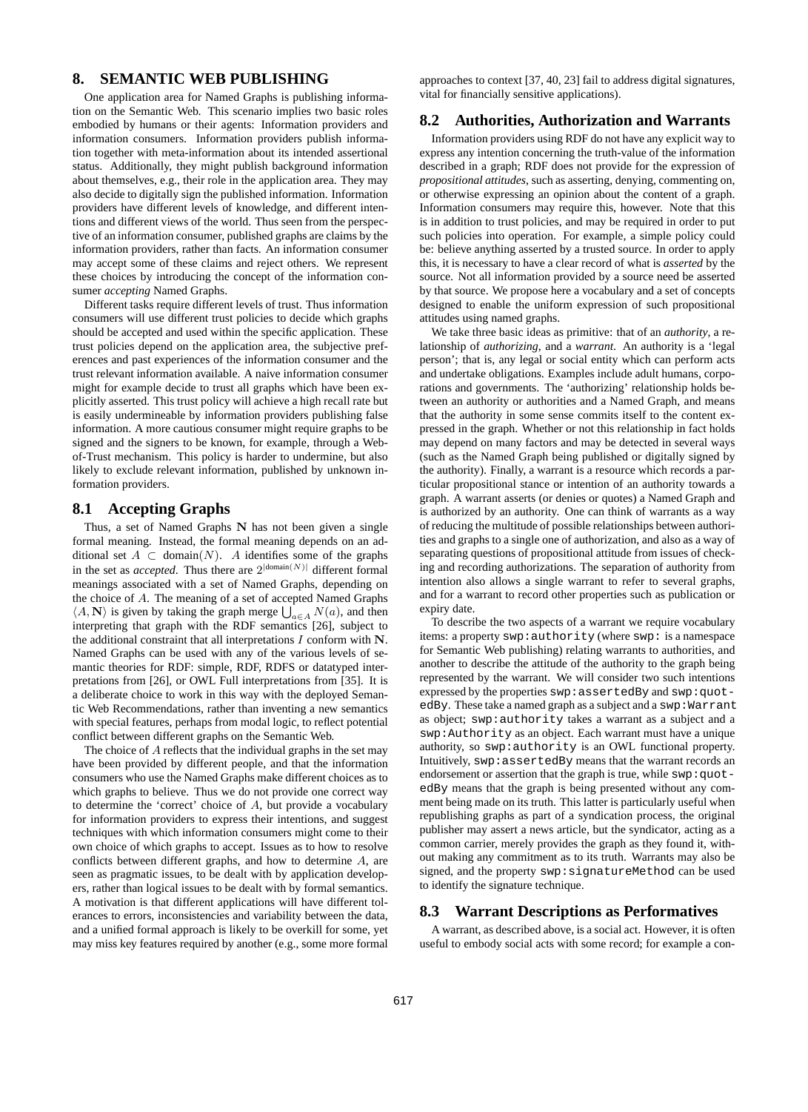# **8. SEMANTIC WEB PUBLISHING**

One application area for Named Graphs is publishing information on the Semantic Web. This scenario implies two basic roles embodied by humans or their agents: Information providers and information consumers. Information providers publish information together with meta-information about its intended assertional status. Additionally, they might publish background information about themselves, e.g., their role in the application area. They may also decide to digitally sign the published information. Information providers have different levels of knowledge, and different intentions and different views of the world. Thus seen from the perspective of an information consumer, published graphs are claims by the information providers, rather than facts. An information consumer may accept some of these claims and reject others. We represent these choices by introducing the concept of the information consumer *accepting* Named Graphs.

Different tasks require different levels of trust. Thus information consumers will use different trust policies to decide which graphs should be accepted and used within the specific application. These trust policies depend on the application area, the subjective preferences and past experiences of the information consumer and the trust relevant information available. A naive information consumer might for example decide to trust all graphs which have been explicitly asserted. This trust policy will achieve a high recall rate but is easily undermineable by information providers publishing false information. A more cautious consumer might require graphs to be signed and the signers to be known, for example, through a Webof-Trust mechanism. This policy is harder to undermine, but also likely to exclude relevant information, published by unknown information providers.

#### **8.1 Accepting Graphs**

Thus, a set of Named Graphs N has not been given a single formal meaning. Instead, the formal meaning depends on an additional set  $A \subset \text{domain}(N)$ . A identifies some of the graphs in the set as *accepted*. Thus there are  $2^{|domain(N)|}$  different formal meanings associated with a set of Named Graphs, depending on the choice of A. The meaning of a set of accepted Named Graphs  $\langle A, \mathbf{N} \rangle$  is given by taking the graph merge  $\bigcup_{a \in A} N(a)$ , and then interpreting that graph with the RDF semantics [26], subject to the additional constraint that all interpretations  $I$  conform with  $N$ . Named Graphs can be used with any of the various levels of semantic theories for RDF: simple, RDF, RDFS or datatyped interpretations from [26], or OWL Full interpretations from [35]. It is a deliberate choice to work in this way with the deployed Semantic Web Recommendations, rather than inventing a new semantics with special features, perhaps from modal logic, to reflect potential conflict between different graphs on the Semantic Web.

The choice of A reflects that the individual graphs in the set may have been provided by different people, and that the information consumers who use the Named Graphs make different choices as to which graphs to believe. Thus we do not provide one correct way to determine the 'correct' choice of A, but provide a vocabulary for information providers to express their intentions, and suggest techniques with which information consumers might come to their own choice of which graphs to accept. Issues as to how to resolve conflicts between different graphs, and how to determine A, are seen as pragmatic issues, to be dealt with by application developers, rather than logical issues to be dealt with by formal semantics. A motivation is that different applications will have different tolerances to errors, inconsistencies and variability between the data, and a unified formal approach is likely to be overkill for some, yet may miss key features required by another (e.g., some more formal approaches to context [37, 40, 23] fail to address digital signatures, vital for financially sensitive applications).

## **8.2 Authorities, Authorization and Warrants**

Information providers using RDF do not have any explicit way to express any intention concerning the truth-value of the information described in a graph; RDF does not provide for the expression of *propositional attitudes*, such as asserting, denying, commenting on, or otherwise expressing an opinion about the content of a graph. Information consumers may require this, however. Note that this is in addition to trust policies, and may be required in order to put such policies into operation. For example, a simple policy could be: believe anything asserted by a trusted source. In order to apply this, it is necessary to have a clear record of what is *asserted* by the source. Not all information provided by a source need be asserted by that source. We propose here a vocabulary and a set of concepts designed to enable the uniform expression of such propositional attitudes using named graphs.

We take three basic ideas as primitive: that of an *authority*, a relationship of *authorizing*, and a *warrant*. An authority is a 'legal person'; that is, any legal or social entity which can perform acts and undertake obligations. Examples include adult humans, corporations and governments. The 'authorizing' relationship holds between an authority or authorities and a Named Graph, and means that the authority in some sense commits itself to the content expressed in the graph. Whether or not this relationship in fact holds may depend on many factors and may be detected in several ways (such as the Named Graph being published or digitally signed by the authority). Finally, a warrant is a resource which records a particular propositional stance or intention of an authority towards a graph. A warrant asserts (or denies or quotes) a Named Graph and is authorized by an authority. One can think of warrants as a way of reducing the multitude of possible relationships between authorities and graphs to a single one of authorization, and also as a way of separating questions of propositional attitude from issues of checking and recording authorizations. The separation of authority from intention also allows a single warrant to refer to several graphs, and for a warrant to record other properties such as publication or expiry date.

To describe the two aspects of a warrant we require vocabulary items: a property swp:authority (where swp: is a namespace for Semantic Web publishing) relating warrants to authorities, and another to describe the attitude of the authority to the graph being represented by the warrant. We will consider two such intentions expressed by the properties swp:assertedBy and swp:quotedBy. These take a named graph as a subject and a swp:Warrant as object; swp:authority takes a warrant as a subject and a swp:Authority as an object. Each warrant must have a unique authority, so swp:authority is an OWL functional property. Intuitively, swp:assertedBy means that the warrant records an endorsement or assertion that the graph is true, while swp:quotedBy means that the graph is being presented without any comment being made on its truth. This latter is particularly useful when republishing graphs as part of a syndication process, the original publisher may assert a news article, but the syndicator, acting as a common carrier, merely provides the graph as they found it, without making any commitment as to its truth. Warrants may also be signed, and the property swp:signatureMethod can be used to identify the signature technique.

# **8.3 Warrant Descriptions as Performatives**

A warrant, as described above, is a social act. However, it is often useful to embody social acts with some record; for example a con-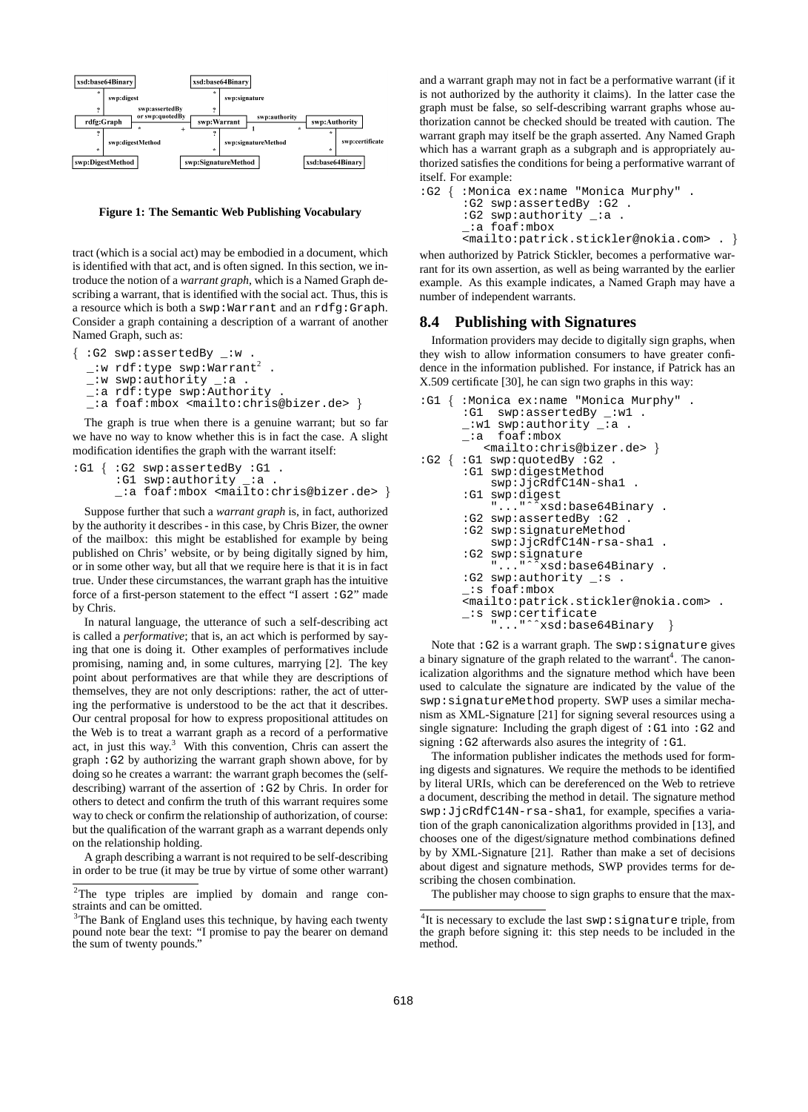

**Figure 1: The Semantic Web Publishing Vocabulary**

tract (which is a social act) may be embodied in a document, which is identified with that act, and is often signed. In this section, we introduce the notion of a *warrant graph*, which is a Named Graph describing a warrant, that is identified with the social act. Thus, this is a resource which is both a swp:Warrant and an rdfg:Graph. Consider a graph containing a description of a warrant of another Named Graph, such as:

{ :G2 swp:assertedBy \_:w . \_:w rdf:type swp:Warrant<sup>2</sup> . \_:w swp:authority \_:a . \_:a rdf:type swp:Authority . \_:a foaf:mbox <mailto:chris@bizer.de> }

The graph is true when there is a genuine warrant; but so far we have no way to know whether this is in fact the case. A slight modification identifies the graph with the warrant itself:

```
:G1 { :G2 swp:assertedBy :G1 .<br>:G1 swp:authority :a .
       :G1 swp:authority_:a foaf:mbox <mailto:chris@bizer.de> }
```
Suppose further that such a *warrant graph* is, in fact, authorized by the authority it describes - in this case, by Chris Bizer, the owner of the mailbox: this might be established for example by being published on Chris' website, or by being digitally signed by him, or in some other way, but all that we require here is that it is in fact true. Under these circumstances, the warrant graph has the intuitive force of a first-person statement to the effect "I assert :G2" made by Chris.

In natural language, the utterance of such a self-describing act is called a *performative*; that is, an act which is performed by saying that one is doing it. Other examples of performatives include promising, naming and, in some cultures, marrying [2]. The key point about performatives are that while they are descriptions of themselves, they are not only descriptions: rather, the act of uttering the performative is understood to be the act that it describes. Our central proposal for how to express propositional attitudes on the Web is to treat a warrant graph as a record of a performative act, in just this way. $3$  With this convention, Chris can assert the graph :G2 by authorizing the warrant graph shown above, for by doing so he creates a warrant: the warrant graph becomes the (selfdescribing) warrant of the assertion of :G2 by Chris. In order for others to detect and confirm the truth of this warrant requires some way to check or confirm the relationship of authorization, of course: but the qualification of the warrant graph as a warrant depends only on the relationship holding.

A graph describing a warrant is not required to be self-describing in order to be true (it may be true by virtue of some other warrant) and a warrant graph may not in fact be a performative warrant (if it is not authorized by the authority it claims). In the latter case the graph must be false, so self-describing warrant graphs whose authorization cannot be checked should be treated with caution. The warrant graph may itself be the graph asserted. Any Named Graph which has a warrant graph as a subgraph and is appropriately authorized satisfies the conditions for being a performative warrant of itself. For example:

```
:G2 { :Monica ex:name "Monica Murphy" .
      :G2 swp:assertedBy :G2 .
      :G2 swp:authority _:a .
      _:a foaf:mbox
      <mailto:patrick.stickler@nokia.com> . }
```
when authorized by Patrick Stickler, becomes a performative warrant for its own assertion, as well as being warranted by the earlier example. As this example indicates, a Named Graph may have a number of independent warrants.

## **8.4 Publishing with Signatures**

Information providers may decide to digitally sign graphs, when they wish to allow information consumers to have greater confidence in the information published. For instance, if Patrick has an X.509 certificate [30], he can sign two graphs in this way:

```
:G1 { :Monica ex:name "Monica Murphy" .
      :G1 swp:assertedBy _:w1 .
      _:w1 swp:authority _:a .
      _:a foaf:mbox
         <mailto:chris@bizer.de> }
:G2 { :G1 swp:quotedBy :G2 .
      :G1 swp:digestMethod
          swp:JjcRdfC14N-sha1 .
      :G1 swp:digest
          "..."ˆˆxsd:base64Binary .
      :G2 swp:assertedBy :G2 .
      :G2 swp:signatureMethod
          swp:JjcRdfC14N-rsa-sha1 .
      :G2 swp:signature
          "..."ˆˆxsd:base64Binary .
      :G2 swp:authority _:s .
      _:s foaf:mbox
      <mailto:patrick.stickler@nokia.com> .
      _:s swp:certificate
          "..."ˆˆxsd:base64Binary }
```
Note that :G2 is a warrant graph. The swp:signature gives a binary signature of the graph related to the warrant<sup>4</sup>. The canonicalization algorithms and the signature method which have been used to calculate the signature are indicated by the value of the swp:signatureMethod property. SWP uses a similar mechanism as XML-Signature [21] for signing several resources using a single signature: Including the graph digest of :G1 into :G2 and signing : G2 afterwards also asures the integrity of : G1.

The information publisher indicates the methods used for forming digests and signatures. We require the methods to be identified by literal URIs, which can be dereferenced on the Web to retrieve a document, describing the method in detail. The signature method swp:JjcRdfC14N-rsa-sha1, for example, specifies a variation of the graph canonicalization algorithms provided in [13], and chooses one of the digest/signature method combinations defined by by XML-Signature [21]. Rather than make a set of decisions about digest and signature methods, SWP provides terms for describing the chosen combination.

The publisher may choose to sign graphs to ensure that the max-

<sup>&</sup>lt;sup>2</sup>The type triples are implied by domain and range constraints and can be omitted.

<sup>&</sup>lt;sup>3</sup>The Bank of England uses this technique, by having each twenty pound note bear the text: "I promise to pay the bearer on demand the sum of twenty pounds."

<sup>4</sup> It is necessary to exclude the last swp:signature triple, from the graph before signing it: this step needs to be included in the method.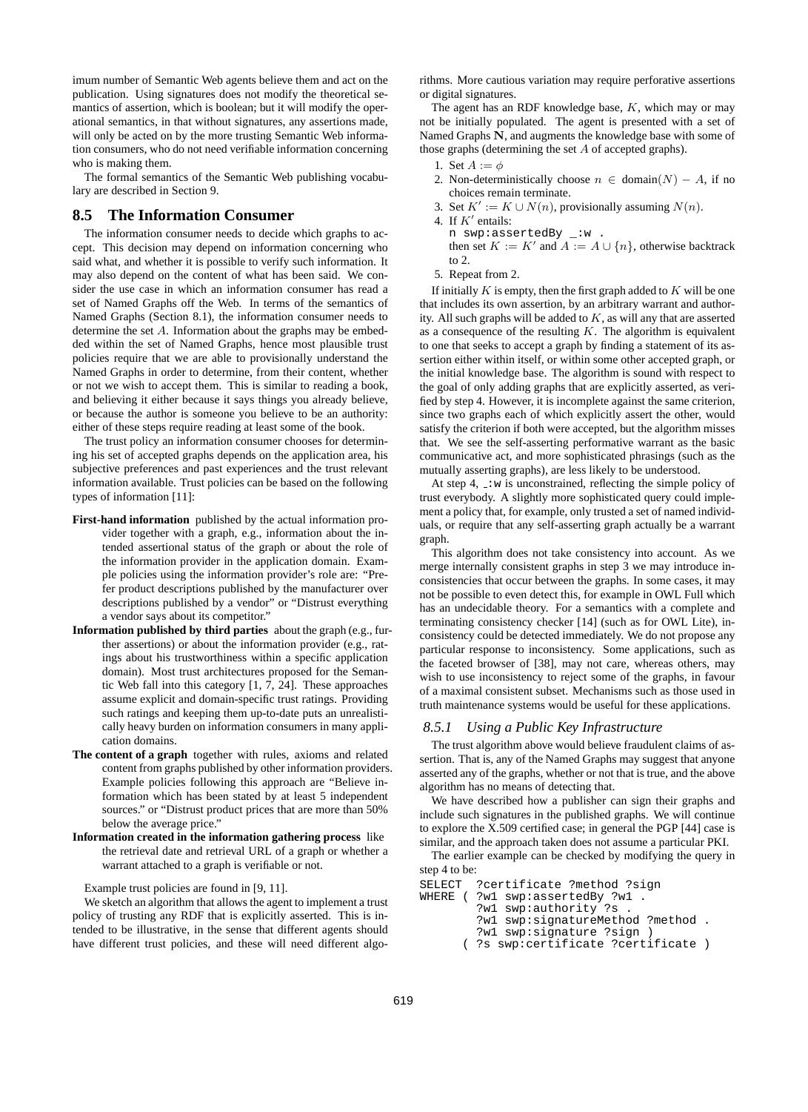imum number of Semantic Web agents believe them and act on the publication. Using signatures does not modify the theoretical semantics of assertion, which is boolean; but it will modify the operational semantics, in that without signatures, any assertions made, will only be acted on by the more trusting Semantic Web information consumers, who do not need verifiable information concerning who is making them.

The formal semantics of the Semantic Web publishing vocabulary are described in Section 9.

#### **8.5 The Information Consumer**

The information consumer needs to decide which graphs to accept. This decision may depend on information concerning who said what, and whether it is possible to verify such information. It may also depend on the content of what has been said. We consider the use case in which an information consumer has read a set of Named Graphs off the Web. In terms of the semantics of Named Graphs (Section 8.1), the information consumer needs to determine the set A. Information about the graphs may be embedded within the set of Named Graphs, hence most plausible trust policies require that we are able to provisionally understand the Named Graphs in order to determine, from their content, whether or not we wish to accept them. This is similar to reading a book, and believing it either because it says things you already believe, or because the author is someone you believe to be an authority: either of these steps require reading at least some of the book.

The trust policy an information consumer chooses for determining his set of accepted graphs depends on the application area, his subjective preferences and past experiences and the trust relevant information available. Trust policies can be based on the following types of information [11]:

- **First-hand information** published by the actual information provider together with a graph, e.g., information about the intended assertional status of the graph or about the role of the information provider in the application domain. Example policies using the information provider's role are: "Prefer product descriptions published by the manufacturer over descriptions published by a vendor" or "Distrust everything a vendor says about its competitor."
- **Information published by third parties** about the graph (e.g., further assertions) or about the information provider (e.g., ratings about his trustworthiness within a specific application domain). Most trust architectures proposed for the Semantic Web fall into this category [1, 7, 24]. These approaches assume explicit and domain-specific trust ratings. Providing such ratings and keeping them up-to-date puts an unrealistically heavy burden on information consumers in many application domains.
- **The content of a graph** together with rules, axioms and related content from graphs published by other information providers. Example policies following this approach are "Believe information which has been stated by at least 5 independent sources." or "Distrust product prices that are more than 50% below the average price."
- **Information created in the information gathering process** like the retrieval date and retrieval URL of a graph or whether a warrant attached to a graph is verifiable or not.

Example trust policies are found in [9, 11].

We sketch an algorithm that allows the agent to implement a trust policy of trusting any RDF that is explicitly asserted. This is intended to be illustrative, in the sense that different agents should have different trust policies, and these will need different algorithms. More cautious variation may require perforative assertions or digital signatures.

The agent has an RDF knowledge base,  $K$ , which may or may not be initially populated. The agent is presented with a set of Named Graphs N, and augments the knowledge base with some of those graphs (determining the set A of accepted graphs).

- 1. Set  $A := \phi$
- 2. Non-deterministically choose  $n \in \text{domain}(N) A$ , if no choices remain terminate.
- 3. Set  $K' := K \cup N(n)$ , provisionally assuming  $N(n)$ .
- 4. If  $K'$  entails: n swp:assertedBy \_:w . then set  $K := K'$  and  $A := A \cup \{n\}$ , otherwise backtrack to  $2<sub>1</sub>$
- 5. Repeat from 2.

If initially  $K$  is empty, then the first graph added to  $K$  will be one that includes its own assertion, by an arbitrary warrant and authority. All such graphs will be added to  $K$ , as will any that are asserted as a consequence of the resulting  $K$ . The algorithm is equivalent to one that seeks to accept a graph by finding a statement of its assertion either within itself, or within some other accepted graph, or the initial knowledge base. The algorithm is sound with respect to the goal of only adding graphs that are explicitly asserted, as verified by step 4. However, it is incomplete against the same criterion, since two graphs each of which explicitly assert the other, would satisfy the criterion if both were accepted, but the algorithm misses that. We see the self-asserting performative warrant as the basic communicative act, and more sophisticated phrasings (such as the mutually asserting graphs), are less likely to be understood.

At step 4,  $\therefore$  is unconstrained, reflecting the simple policy of trust everybody. A slightly more sophisticated query could implement a policy that, for example, only trusted a set of named individuals, or require that any self-asserting graph actually be a warrant graph.

This algorithm does not take consistency into account. As we merge internally consistent graphs in step 3 we may introduce inconsistencies that occur between the graphs. In some cases, it may not be possible to even detect this, for example in OWL Full which has an undecidable theory. For a semantics with a complete and terminating consistency checker [14] (such as for OWL Lite), inconsistency could be detected immediately. We do not propose any particular response to inconsistency. Some applications, such as the faceted browser of [38], may not care, whereas others, may wish to use inconsistency to reject some of the graphs, in favour of a maximal consistent subset. Mechanisms such as those used in truth maintenance systems would be useful for these applications.

#### *8.5.1 Using a Public Key Infrastructure*

The trust algorithm above would believe fraudulent claims of assertion. That is, any of the Named Graphs may suggest that anyone asserted any of the graphs, whether or not that is true, and the above algorithm has no means of detecting that.

We have described how a publisher can sign their graphs and include such signatures in the published graphs. We will continue to explore the X.509 certified case; in general the PGP [44] case is similar, and the approach taken does not assume a particular PKI.

The earlier example can be checked by modifying the query in step 4 to be:

```
SELECT ?certificate ?method ?sign<br>WHERE ( ?wl swp:assertedBy ?wl .
         ?w1 swp:assertedBy ?w1 .
         ?w1 swp:authority ?s .
         ?w1 swp:signatureMethod ?method .
          ?w1 swp:signature ?sign )
       ( ?s swp:certificate ?certificate )
```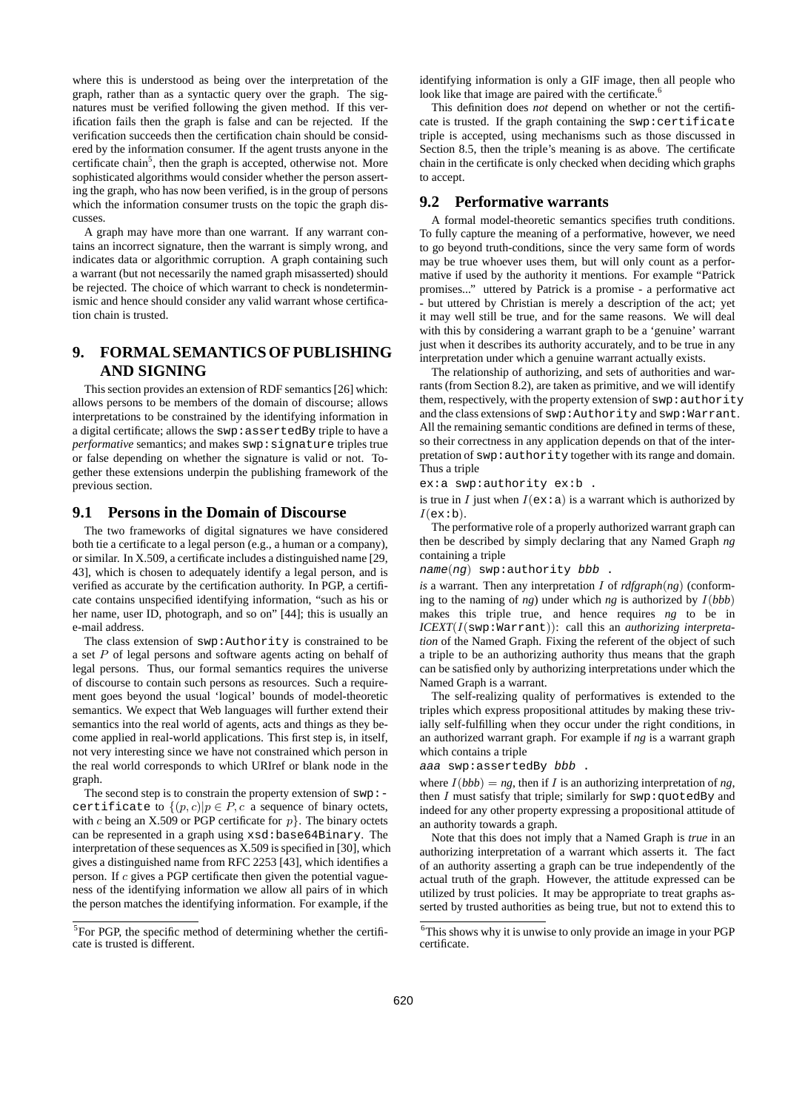where this is understood as being over the interpretation of the graph, rather than as a syntactic query over the graph. The signatures must be verified following the given method. If this verification fails then the graph is false and can be rejected. If the verification succeeds then the certification chain should be considered by the information consumer. If the agent trusts anyone in the certificate chain<sup>5</sup>, then the graph is accepted, otherwise not. More sophisticated algorithms would consider whether the person asserting the graph, who has now been verified, is in the group of persons which the information consumer trusts on the topic the graph discusses.

A graph may have more than one warrant. If any warrant contains an incorrect signature, then the warrant is simply wrong, and indicates data or algorithmic corruption. A graph containing such a warrant (but not necessarily the named graph misasserted) should be rejected. The choice of which warrant to check is nondeterminismic and hence should consider any valid warrant whose certification chain is trusted.

# **9. FORMAL SEMANTICS OF PUBLISHING AND SIGNING**

This section provides an extension of RDF semantics [26] which: allows persons to be members of the domain of discourse; allows interpretations to be constrained by the identifying information in a digital certificate; allows the swp:assertedBy triple to have a *performative* semantics; and makes swp:signature triples true or false depending on whether the signature is valid or not. Together these extensions underpin the publishing framework of the previous section.

#### **9.1 Persons in the Domain of Discourse**

The two frameworks of digital signatures we have considered both tie a certificate to a legal person (e.g., a human or a company), or similar. In X.509, a certificate includes a distinguished name [29, 43], which is chosen to adequately identify a legal person, and is verified as accurate by the certification authority. In PGP, a certificate contains unspecified identifying information, "such as his or her name, user ID, photograph, and so on" [44]; this is usually an e-mail address.

The class extension of swp:Authority is constrained to be a set  $P$  of legal persons and software agents acting on behalf of legal persons. Thus, our formal semantics requires the universe of discourse to contain such persons as resources. Such a requirement goes beyond the usual 'logical' bounds of model-theoretic semantics. We expect that Web languages will further extend their semantics into the real world of agents, acts and things as they become applied in real-world applications. This first step is, in itself, not very interesting since we have not constrained which person in the real world corresponds to which URIref or blank node in the graph.

The second step is to constrain the property extension of  $\sup$  : – certificate to  $\{(p, c)|p \in P, c \text{ a sequence of binary octets,}\}$ with c being an X.509 or PGP certificate for  $p$ . The binary octets can be represented in a graph using xsd:base64Binary. The interpretation of these sequences as X.509 is specified in [30], which gives a distinguished name from RFC 2253 [43], which identifies a person. If  $c$  gives a PGP certificate then given the potential vagueness of the identifying information we allow all pairs of in which the person matches the identifying information. For example, if the

identifying information is only a GIF image, then all people who look like that image are paired with the certificate.<sup>6</sup>

This definition does *not* depend on whether or not the certificate is trusted. If the graph containing the swp:certificate triple is accepted, using mechanisms such as those discussed in Section 8.5, then the triple's meaning is as above. The certificate chain in the certificate is only checked when deciding which graphs to accept.

#### **9.2 Performative warrants**

A formal model-theoretic semantics specifies truth conditions. To fully capture the meaning of a performative, however, we need to go beyond truth-conditions, since the very same form of words may be true whoever uses them, but will only count as a performative if used by the authority it mentions. For example "Patrick promises..." uttered by Patrick is a promise - a performative act - but uttered by Christian is merely a description of the act; yet it may well still be true, and for the same reasons. We will deal with this by considering a warrant graph to be a 'genuine' warrant just when it describes its authority accurately, and to be true in any interpretation under which a genuine warrant actually exists.

The relationship of authorizing, and sets of authorities and warrants (from Section 8.2), are taken as primitive, and we will identify them, respectively, with the property extension of swp:authority and the class extensions of swp: Authority and swp: Warrant. All the remaining semantic conditions are defined in terms of these, so their correctness in any application depends on that of the interpretation of swp:authority together with its range and domain. Thus a triple

ex:a swp:authority ex:b .

is true in I just when  $I(ex : a)$  is a warrant which is authorized by  $I(ex:b).$ 

The performative role of a properly authorized warrant graph can then be described by simply declaring that any Named Graph *ng* containing a triple

```
name(ng) swp:authority bbb .
```
*is* a warrant. Then any interpretation I of *rdfgraph*(*ng*) (conforming to the naming of *ng*) under which *ng* is authorized by I(*bbb*) makes this triple true, and hence requires *ng* to be in *ICEXT*(I(swp:Warrant)): call this an *authorizing interpretation* of the Named Graph. Fixing the referent of the object of such a triple to be an authorizing authority thus means that the graph can be satisfied only by authorizing interpretations under which the Named Graph is a warrant.

The self-realizing quality of performatives is extended to the triples which express propositional attitudes by making these trivially self-fulfilling when they occur under the right conditions, in an authorized warrant graph. For example if *ng* is a warrant graph which contains a triple

aaa swp:assertedBy bbb .

where  $I(bbb) = ng$ , then if I is an authorizing interpretation of  $ng$ , then  $I$  must satisfy that triple; similarly for  $\text{swp}:$  quotedBy and indeed for any other property expressing a propositional attitude of an authority towards a graph.

Note that this does not imply that a Named Graph is *true* in an authorizing interpretation of a warrant which asserts it. The fact of an authority asserting a graph can be true independently of the actual truth of the graph. However, the attitude expressed can be utilized by trust policies. It may be appropriate to treat graphs asserted by trusted authorities as being true, but not to extend this to

<sup>&</sup>lt;sup>5</sup>For PGP, the specific method of determining whether the certificate is trusted is different.

<sup>6</sup>This shows why it is unwise to only provide an image in your PGP certificate.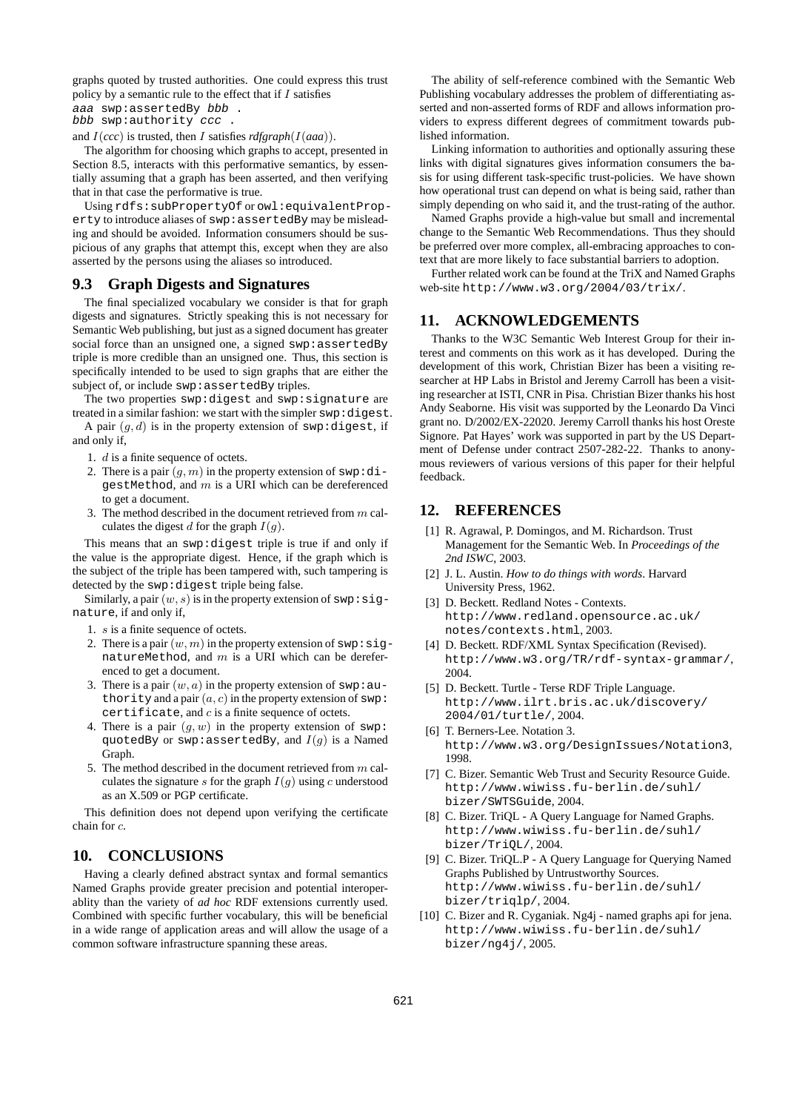graphs quoted by trusted authorities. One could express this trust policy by a semantic rule to the effect that if  $I$  satisfies aaa swp:assertedBy bbb .

bbb swp:authority ccc.

and I(*ccc*) is trusted, then I satisfies *rdfgraph*(I(*aaa*)).

The algorithm for choosing which graphs to accept, presented in Section 8.5, interacts with this performative semantics, by essentially assuming that a graph has been asserted, and then verifying that in that case the performative is true.

Using rdfs:subPropertyOf or owl:equivalentProperty to introduce aliases of swp:assertedBy may be misleading and should be avoided. Information consumers should be suspicious of any graphs that attempt this, except when they are also asserted by the persons using the aliases so introduced.

#### **9.3 Graph Digests and Signatures**

The final specialized vocabulary we consider is that for graph digests and signatures. Strictly speaking this is not necessary for Semantic Web publishing, but just as a signed document has greater social force than an unsigned one, a signed swp:assertedBy triple is more credible than an unsigned one. Thus, this section is specifically intended to be used to sign graphs that are either the subject of, or include swp:assertedBy triples.

The two properties swp:digest and swp:signature are treated in a similar fashion: we start with the simpler swp:digest.

A pair  $(q, d)$  is in the property extension of swp: digest, if and only if,

- 1. d is a finite sequence of octets.
- 2. There is a pair  $(q, m)$  in the property extension of  $swp : di$  $gestMethod$ , and  $m$  is a URI which can be dereferenced to get a document.
- 3. The method described in the document retrieved from m calculates the digest d for the graph  $I(g)$ .

This means that an swp:digest triple is true if and only if the value is the appropriate digest. Hence, if the graph which is the subject of the triple has been tampered with, such tampering is detected by the swp:digest triple being false.

Similarly, a pair  $(w, s)$  is in the property extension of swp:signature, if and only if,

- 1. s is a finite sequence of octets.
- 2. There is a pair  $(w, m)$  in the property extension of  $swp:sig$ natureMethod, and  $m$  is a URI which can be dereferenced to get a document.
- 3. There is a pair  $(w, a)$  in the property extension of swp: authority and a pair  $(a, c)$  in the property extension of swp: certificate, and  $c$  is a finite sequence of octets.
- 4. There is a pair  $(q, w)$  in the property extension of swp: quotedBy or swp: assertedBy, and  $I(q)$  is a Named Graph.
- 5. The method described in the document retrieved from m calculates the signature s for the graph  $I(g)$  using c understood as an X.509 or PGP certificate.

This definition does not depend upon verifying the certificate chain for c.

## **10. CONCLUSIONS**

Having a clearly defined abstract syntax and formal semantics Named Graphs provide greater precision and potential interoperablity than the variety of *ad hoc* RDF extensions currently used. Combined with specific further vocabulary, this will be beneficial in a wide range of application areas and will allow the usage of a common software infrastructure spanning these areas.

The ability of self-reference combined with the Semantic Web Publishing vocabulary addresses the problem of differentiating asserted and non-asserted forms of RDF and allows information providers to express different degrees of commitment towards published information.

Linking information to authorities and optionally assuring these links with digital signatures gives information consumers the basis for using different task-specific trust-policies. We have shown how operational trust can depend on what is being said, rather than simply depending on who said it, and the trust-rating of the author.

Named Graphs provide a high-value but small and incremental change to the Semantic Web Recommendations. Thus they should be preferred over more complex, all-embracing approaches to context that are more likely to face substantial barriers to adoption.

Further related work can be found at the TriX and Named Graphs web-site http://www.w3.org/2004/03/trix/.

## **11. ACKNOWLEDGEMENTS**

Thanks to the W3C Semantic Web Interest Group for their interest and comments on this work as it has developed. During the development of this work, Christian Bizer has been a visiting researcher at HP Labs in Bristol and Jeremy Carroll has been a visiting researcher at ISTI, CNR in Pisa. Christian Bizer thanks his host Andy Seaborne. His visit was supported by the Leonardo Da Vinci grant no. D/2002/EX-22020. Jeremy Carroll thanks his host Oreste Signore. Pat Hayes' work was supported in part by the US Department of Defense under contract 2507-282-22. Thanks to anonymous reviewers of various versions of this paper for their helpful feedback.

## **12. REFERENCES**

- [1] R. Agrawal, P. Domingos, and M. Richardson. Trust Management for the Semantic Web. In *Proceedings of the 2nd ISWC*, 2003.
- [2] J. L. Austin. *How to do things with words*. Harvard University Press, 1962.
- [3] D. Beckett. Redland Notes Contexts. http://www.redland.opensource.ac.uk/ notes/contexts.html, 2003.
- [4] D. Beckett. RDF/XML Syntax Specification (Revised). http://www.w3.org/TR/rdf-syntax-grammar/, 2004.
- [5] D. Beckett. Turtle Terse RDF Triple Language. http://www.ilrt.bris.ac.uk/discovery/ 2004/01/turtle/, 2004.
- [6] T. Berners-Lee. Notation 3. http://www.w3.org/DesignIssues/Notation3, 1998.
- [7] C. Bizer. Semantic Web Trust and Security Resource Guide. http://www.wiwiss.fu-berlin.de/suhl/ bizer/SWTSGuide, 2004.
- [8] C. Bizer. TriQL A Query Language for Named Graphs. http://www.wiwiss.fu-berlin.de/suhl/ bizer/TriQL/, 2004.
- [9] C. Bizer. TriQL.P A Query Language for Querying Named Graphs Published by Untrustworthy Sources. http://www.wiwiss.fu-berlin.de/suhl/ bizer/triqlp/, 2004.
- [10] C. Bizer and R. Cyganiak. Ng4j named graphs api for jena. http://www.wiwiss.fu-berlin.de/suhl/ bizer/ng4j/, 2005.